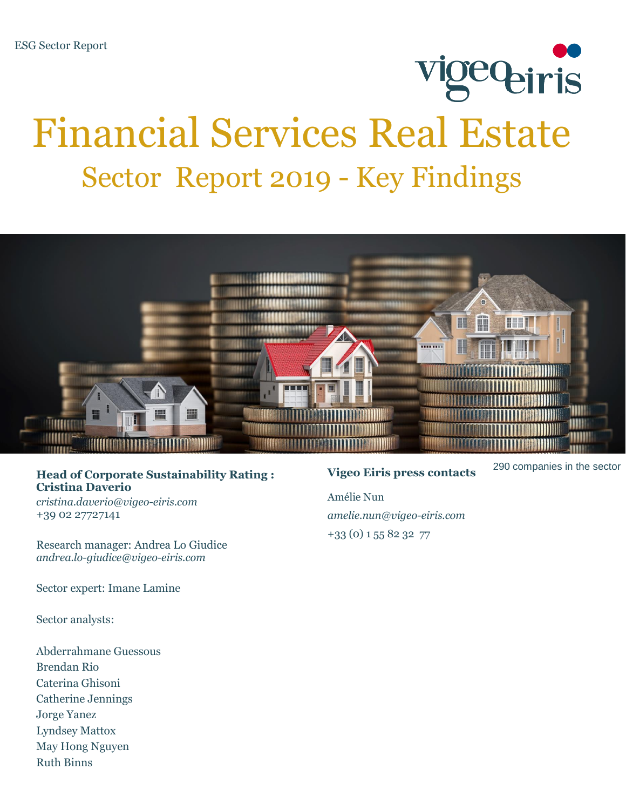# **VigeQ<sub>eiris</sub>** Financial Services Real Estate Sector Report 2019 - Key Findings



### <sup>290</sup> companies in the sector **Head of Corporate Sustainability Rating : Cristina Daverio**

*cristina.daverio@vigeo-eiris.com* +39 02 27727141

Research manager: Andrea Lo Giudice *andrea.lo-giudice@vigeo-eiris.com*

Sector expert: Imane Lamine

Sector analysts:

Abderrahmane Guessous Brendan Rio Caterina Ghisoni Catherine Jennings Jorge Yanez Lyndsey Mattox May Hong Nguyen Ruth Binns

### **Vigeo Eiris press contacts**

Amélie Nun *amelie.nun@vigeo-eiris.com*  +33 (0) 1 55 82 32 77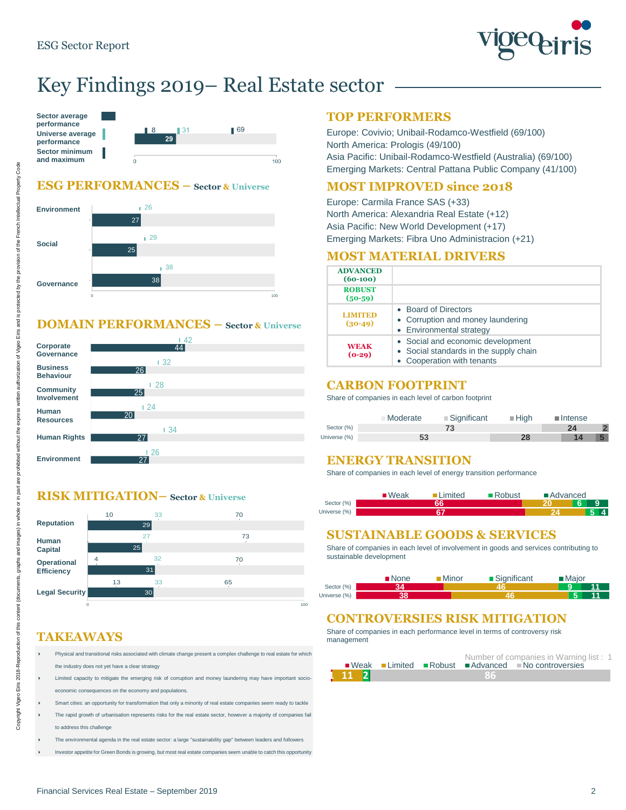

# Key Findings 2019– Real Estate sector

 $100$ 

| Sector average<br>performance<br>Universe average<br>performance | 8 | -31<br>29 |  |
|------------------------------------------------------------------|---|-----------|--|
| <b>Sector minimum</b>                                            |   |           |  |
| and maximum                                                      |   |           |  |

#### **ESG PERFORMANCES – Sector & Universe**



#### **DOMAIN PERFORMANCES – Sector & Universe**



#### **RISK MITIGATION– Sector & Universe**

|                   | 10 | 33              | 70  |  |
|-------------------|----|-----------------|-----|--|
| <b>Reputation</b> |    | 29              |     |  |
| <b>Human</b>      |    | 27              | 73  |  |
| <b>Capital</b>    |    | 25              |     |  |
| Operational       | 4  | 32              | 70  |  |
| <b>Efficiency</b> |    | 31              |     |  |
|                   | 13 | 33              | 65  |  |
| Legal Security    |    | 30 <sup>2</sup> |     |  |
|                   |    |                 | 100 |  |

### **TAKEAWAYS**

- Physical and transitional risks associated with climate change present a complex challenge to real estate for which the industry does not yet have a clear strategy
- Limited capacity to mitigate the emerging risk of corruption and money laundering may have important socioeconomic consequences on the economy and populations.
- Smart cities: an opportunity for transformation that only a minority of real estate companies seem ready to tackle
- The rapid growth of urbanisation represents risks for the real estate sector, however a majority of companies fail to address this challenge
- The environmental agenda in the real estate sector: a large "sustainability gap" between leaders and followers
- Investor appetite for Green Bonds is growing, but most real estate companies seem unable to catch this opportunity

#### **TOP PERFORMERS**

Europe: Covivio; Unibail-Rodamco-Westfield (69/100) North America: Prologis (49/100) Asia Pacific: Unibail-Rodamco-Westfield (Australia) (69/100) Emerging Markets: Central Pattana Public Company (41/100)

#### **MOST IMPROVED since 2018**

Europe: Carmila France SAS (+33) North America: Alexandria Real Estate (+12) Asia Pacific: New World Development (+17) Emerging Markets: Fibra Uno Administracion (+21)

#### **MOST MATERIAL DRIVERS**

| <b>ADVANCED</b><br>$(60-100)$ |                                                                                                         |
|-------------------------------|---------------------------------------------------------------------------------------------------------|
| <b>ROBUST</b><br>$(50-59)$    |                                                                                                         |
| <b>LIMITED</b><br>$(30-49)$   | • Board of Directors<br>• Corruption and money laundering<br>• Environmental strategy                   |
| <b>WEAK</b><br>$(0-29)$       | • Social and economic development<br>• Social standards in the supply chain<br>Cooperation with tenants |

#### **CARBON FOOTPRINT**

Share of companies in each level of carbon footprint

|              | $\blacksquare$ Significant<br>Moderate | $\blacksquare$ High | $\blacksquare$ Intense |
|--------------|----------------------------------------|---------------------|------------------------|
| Sector (%)   |                                        |                     | 24                     |
| Universe (%) | 53                                     | 28                  |                        |

#### **ENERGY TRANSITION**

Share of companies in each level of energy transition performance

|              | $\blacksquare$ Weak | .imited | ■Robust | ■ Advanced |   |                |
|--------------|---------------------|---------|---------|------------|---|----------------|
| Sector (%)   |                     |         |         |            | 6 |                |
| Universe (%) |                     |         |         |            |   | $\overline{4}$ |

#### **SUSTAINABLE GOODS & SERVICES**

Share of companies in each level of involvement in goods and services contributing to sustainable development

|              | <b>■None</b> | ■Minor | ■Significant | $\blacksquare$ Maior |
|--------------|--------------|--------|--------------|----------------------|
| Sector (%)   |              |        |              |                      |
| Universe (%) |              |        |              | E                    |

#### **CONTROVERSIES RISK MITIGATION**

Share of companies in each performance level in terms of controversy risk management